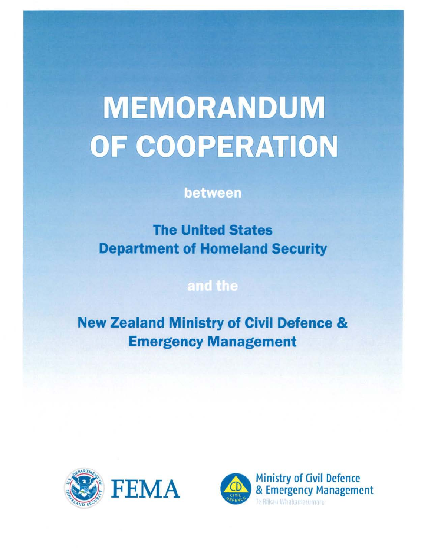# **MEMORANDUM** OF COOPERATION

### between

**The United States Department of Homeland Security** 

## and the

**New Zealand Ministry of Civil Defence & Emergency Management** 



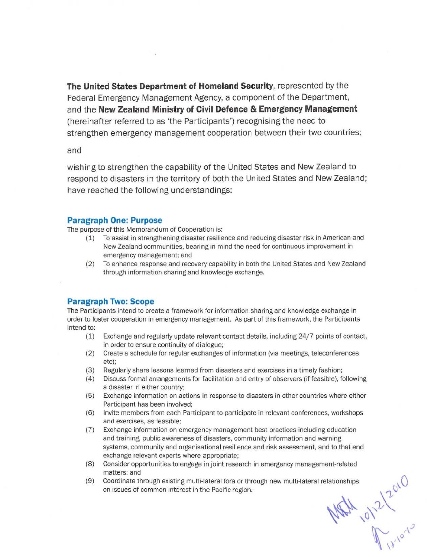The United States Department of Homeland Security, represented by the Federal Emergency Management Agency, a component of the Department, and the New Zealand Ministry of Civil Defence & Emergency Management (hereinafter referred to as 'the Participants') recognising the need to strengthen emergency management cooperation between their two countries;

#### and

wishing to strengthen the capability of the United States and New Zealand to respond to disasters in the territory of both the United States and New Zealand; have reached the following understandings:

#### Paragraph One: Purpose

The purpose of this Memorandum of Cooperation is:

- (1) To assist in strengthening disaster resilience and reducing disaster risk in American and New Zealand communities, bearing in mind the need for continuous improvement in emergency management; and
- (2) To enhance response and recovery capability in both the United States and New Zealand through information sharing and knowledge exchange.

#### Paragraph Two: Scope

The Participants intend to create a framework for information sharing and knowledge exchange in order to foster cooperation in emergency management. As part of this framework, the Participant s intend to:

- (1) Exchange and regularly update relevant contact details, including 24/7 points of conta ct, in order to ensure continuity of dialogue;
- (2) Create a schedule for regular exchanges of information (via meetings, teleconferences etc):
- (3) Regularly share lessons learned from disasters and exercises in a timely fashion;
- (4) Discuss formal arrangements for facilitation and entry of observers (if feasible), followi ng a disaster in either country;
- (5) Exchange information on actions in response to disasters in other countries where eit her Participant has been involved;
- (6) Invite members from each Participant to participate in relevant conferences, workshop s and exercises, as feasible;
- (7) Exchange information on emergency management best practices including education and training, public awareness of disasters, community information and warning systems, community and organisational resilience and risk assessment, and to that en d exchange relevant experts where appropriate:
- (8) Consider opportunities to engage in joint research in emergency management-related matters; and
- (9) Coordinate through existing multi-latera! fora or through new multi-lateral relationships on issues of common interest in the Pacific region.

Wath 10/2/2010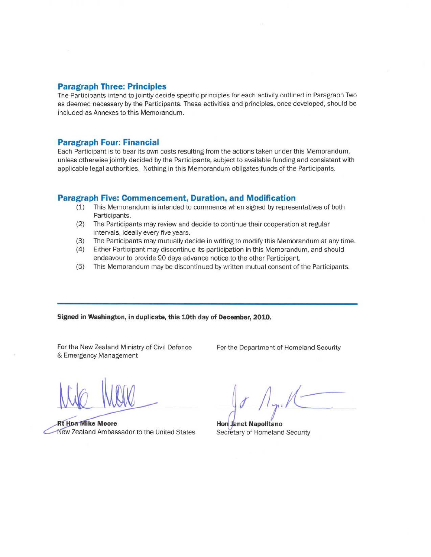#### **Paragraph Three: Principles**

The Participants intend to jointly decide specific principles for each activity outlined in Paragraph Two as deemed necessary by the Participants. These activities and principles. once developed, should be included as Annexes to this Memorandum.

#### **Paragraph Four: Financial**

Each Participant is to bear its own costs resulting from the actions taken under this Memorandum, unless otherwise jointly decided by the Participants, subject to available funding and consistent with applicable legal authorities. Nothing in this Memorandum obligates funds of the Participants.

#### **Paragraph Five: Commencement, Duration, and Modification**

- (1) This Memorandum is intended to commence when signed by representatives of both Participants.
- (2) The Participants may review and decide to continue their cooperation at regular intervals, ideally every five years.
- (3) The Participants may mutually decide in writing to modify this Memorandum at any time.
- (4) Either Participant may discontinue its participation in this Memorandum, and should endeavour to provide 90 days advance notice to the other Participant.
- (5) This Memorandum may be discontinued by written mutual consent of the Participants.

#### **Signed in Washington, In duplicate, this 10th day of December, 2010.**

For the New Zealand Ministry of Civil Defence & Emergency Management

For the Department of Homeland Security

**Rt Hon Mike Moore** New Zealand Ambassador to the United States

Hon Janet Napolitano<br>Hon Janet Napolitano<br>Secretary of Homeland Security

Secretary of Homeland Security